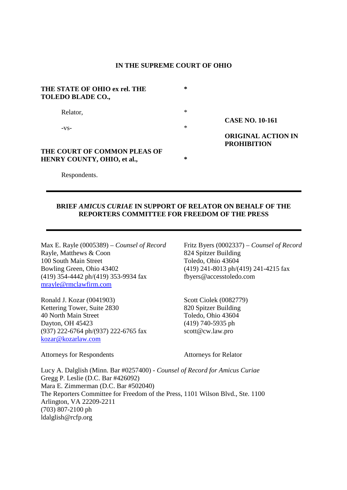### **IN THE SUPREME COURT OF OHIO**

| THE STATE OF OHIO ex rel. THE<br>TOLEDO BLADE CO., | ∗ |                                                 |
|----------------------------------------------------|---|-------------------------------------------------|
| Relator,                                           | ∗ |                                                 |
|                                                    |   | <b>CASE NO. 10-161</b>                          |
| $-VS-$                                             | ∗ |                                                 |
|                                                    |   | <b>ORIGINAL ACTION IN</b><br><b>PROHIBITION</b> |
| THE COURT OF COMMON PLEAS OF                       |   |                                                 |
| HENRY COUNTY, OHIO, et al.,                        | ∗ |                                                 |

Respondents.

### **BRIEF** *AMICUS CURIAE* **IN SUPPORT OF RELATOR ON BEHALF OF THE REPORTERS COMMITTEE FOR FREEDOM OF THE PRESS**

Max E. Rayle (0005389) – *Counsel of Record* Fritz Byers (0002337) – *Counsel of Record*  Rayle, Matthews & Coon 824 Spitzer Building 100 South Main Street Toledo, Ohio 43604 Bowling Green, Ohio 43402 (419) 241-8013 ph/(419) 241-4215 fax (419) 354-4442 ph/(419) 353-9934 fax fbyers@accesstoledo.com mrayle@rmclawfirm.com

Ronald J. Kozar (0041903) Scott Ciolek (0082779) Kettering Tower, Suite 2830 820 Spitzer Building 40 North Main Street Toledo, Ohio 43604 Dayton, OH 45423 (419) 740-5935 ph  $(937)$  222-6764 ph/(937) 222-6765 fax scott@cw.law.pro kozar@kozarlaw.com

Attorneys for Respondents Attorneys for Relator

Lucy A. Dalglish (Minn. Bar #0257400) - *Counsel of Record for Amicus Curiae*  Gregg P. Leslie (D.C. Bar #426092) Mara E. Zimmerman (D.C. Bar #502040) The Reporters Committee for Freedom of the Press, 1101 Wilson Blvd., Ste. 1100 Arlington, VA 22209-2211 (703) 807-2100 ph ldalglish@rcfp.org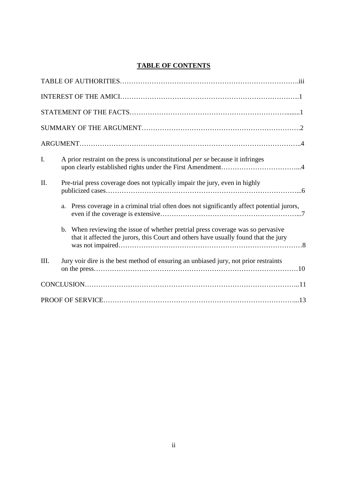# **TABLE OF CONTENTS**

| I.  | A prior restraint on the press is unconstitutional per se because it infringes                                                                                         |
|-----|------------------------------------------------------------------------------------------------------------------------------------------------------------------------|
| II. | Pre-trial press coverage does not typically impair the jury, even in highly                                                                                            |
|     | Press coverage in a criminal trial often does not significantly affect potential jurors,<br>a.                                                                         |
|     | b. When reviewing the issue of whether pretrial press coverage was so pervasive<br>that it affected the jurors, this Court and others have usually found that the jury |
| Ш.  | Jury voir dire is the best method of ensuring an unbiased jury, not prior restraints                                                                                   |
|     |                                                                                                                                                                        |
|     |                                                                                                                                                                        |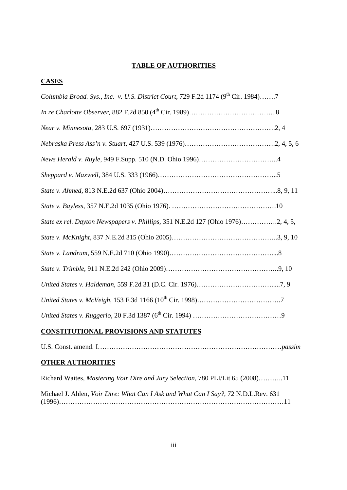# **TABLE OF AUTHORITIES**

# **CASES**

| Columbia Broad. Sys., Inc. v. U.S. District Court, 729 F.2d 1174 (9 <sup>th</sup> Cir. 1984)7 |  |
|-----------------------------------------------------------------------------------------------|--|
|                                                                                               |  |
|                                                                                               |  |
|                                                                                               |  |
|                                                                                               |  |
|                                                                                               |  |
|                                                                                               |  |
|                                                                                               |  |
| State ex rel. Dayton Newspapers v. Phillips, 351 N.E.2d 127 (Ohio 1976)2, 4, 5,               |  |
|                                                                                               |  |
|                                                                                               |  |
|                                                                                               |  |
|                                                                                               |  |
|                                                                                               |  |
|                                                                                               |  |
|                                                                                               |  |

# **CONSTITUTIONAL PROVISIONS AND STATUTES**

U.S. Const. amend. I………………………………………………………………………*passim* 

# **OTHER AUTHORITIES**

| Richard Waites, <i>Mastering Voir Dire and Jury Selection</i> , 780 PLI/Lit 65 (2008)11 |
|-----------------------------------------------------------------------------------------|
| Michael J. Ahlen, Voir Dire: What Can I Ask and What Can I Say?, 72 N.D.L.Rev. 631      |
|                                                                                         |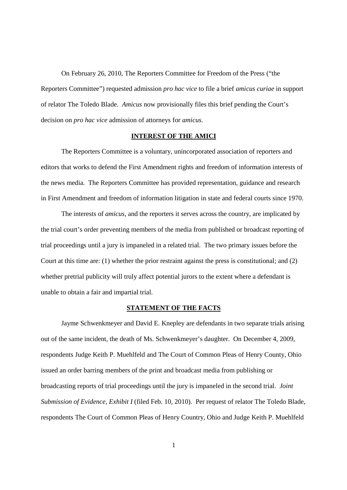On February 26, 2010, The Reporters Committee for Freedom of the Press ("the Reporters Committee") requested admission *pro hac vice* to file a brief *amicus curiae* in support of relator The Toledo Blade. *Amicus* now provisionally files this brief pending the Court's decision on *pro hac vice* admission of attorneys for *amicus*.

#### **INTEREST OF THE AMICI**

 The Reporters Committee is a voluntary, unincorporated association of reporters and editors that works to defend the First Amendment rights and freedom of information interests of the news media. The Reporters Committee has provided representation, guidance and research in First Amendment and freedom of information litigation in state and federal courts since 1970.

 The interests of *amicus*, and the reporters it serves across the country, are implicated by the trial court's order preventing members of the media from published or broadcast reporting of trial proceedings until a jury is impaneled in a related trial. The two primary issues before the Court at this time are: (1) whether the prior restraint against the press is constitutional; and (2) whether pretrial publicity will truly affect potential jurors to the extent where a defendant is unable to obtain a fair and impartial trial.

#### **STATEMENT OF THE FACTS**

 Jayme Schwenkmeyer and David E. Knepley are defendants in two separate trials arising out of the same incident, the death of Ms. Schwenkmeyer's daughter. On December 4, 2009, respondents Judge Keith P. Muehlfeld and The Court of Common Pleas of Henry County, Ohio issued an order barring members of the print and broadcast media from publishing or broadcasting reports of trial proceedings until the jury is impaneled in the second trial. *Joint Submission of Evidence, Exhibit I* (filed Feb. 10, 2010). Per request of relator The Toledo Blade, respondents The Court of Common Pleas of Henry Country, Ohio and Judge Keith P. Muehlfeld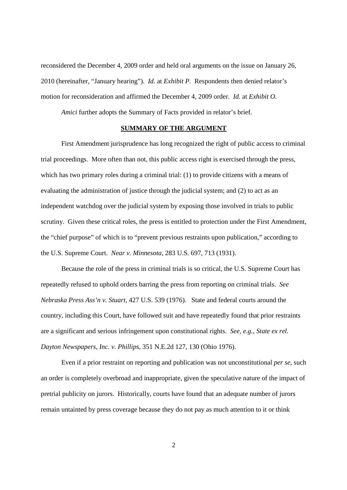reconsidered the December 4, 2009 order and held oral arguments on the issue on January 26, 2010 (hereinafter, "January hearing"). *Id.* at *Exhibit P.* Respondents then denied relator's motion for reconsideration and affirmed the December 4, 2009 order. *Id.* at *Exhibit O.* 

*Amici* further adopts the Summary of Facts provided in relator's brief.

#### **SUMMARY OF THE ARGUMENT**

 First Amendment jurisprudence has long recognized the right of public access to criminal trial proceedings. More often than not, this public access right is exercised through the press, which has two primary roles during a criminal trial: (1) to provide citizens with a means of evaluating the administration of justice through the judicial system; and (2) to act as an independent watchdog over the judicial system by exposing those involved in trials to public scrutiny. Given these critical roles, the press is entitled to protection under the First Amendment, the "chief purpose" of which is to "prevent previous restraints upon publication," according to the U.S. Supreme Court. *Near v. Minnesota*, 283 U.S. 697, 713 (1931).

Because the role of the press in criminal trials is so critical, the U.S. Supreme Court has repeatedly refused to uphold orders barring the press from reporting on criminal trials. *See Nebraska Press Ass'n v. Stuart*, 427 U.S. 539 (1976). State and federal courts around the country, including this Court, have followed suit and have repeatedly found that prior restraints are a significant and serious infringement upon constitutional rights. *See, e.g., State ex rel. Dayton Newspapers, Inc. v. Phillips*, 351 N.E.2d 127, 130 (Ohio 1976).

 Even if a prior restraint on reporting and publication was not unconstitutional *per se*, such an order is completely overbroad and inappropriate, given the speculative nature of the impact of pretrial publicity on jurors. Historically, courts have found that an adequate number of jurors remain untainted by press coverage because they do not pay as much attention to it or think

2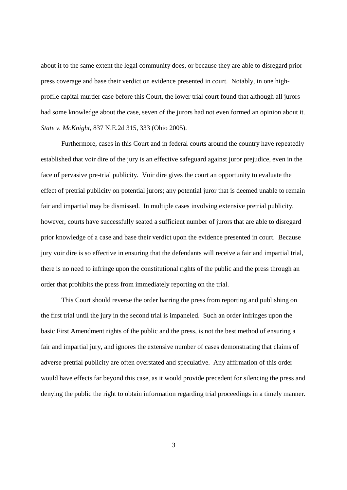about it to the same extent the legal community does, or because they are able to disregard prior press coverage and base their verdict on evidence presented in court. Notably, in one highprofile capital murder case before this Court, the lower trial court found that although all jurors had some knowledge about the case, seven of the jurors had not even formed an opinion about it. *State v. McKnight*, 837 N.E.2d 315, 333 (Ohio 2005).

 Furthermore, cases in this Court and in federal courts around the country have repeatedly established that voir dire of the jury is an effective safeguard against juror prejudice, even in the face of pervasive pre-trial publicity. Voir dire gives the court an opportunity to evaluate the effect of pretrial publicity on potential jurors; any potential juror that is deemed unable to remain fair and impartial may be dismissed. In multiple cases involving extensive pretrial publicity, however, courts have successfully seated a sufficient number of jurors that are able to disregard prior knowledge of a case and base their verdict upon the evidence presented in court. Because jury voir dire is so effective in ensuring that the defendants will receive a fair and impartial trial, there is no need to infringe upon the constitutional rights of the public and the press through an order that prohibits the press from immediately reporting on the trial.

 This Court should reverse the order barring the press from reporting and publishing on the first trial until the jury in the second trial is impaneled. Such an order infringes upon the basic First Amendment rights of the public and the press, is not the best method of ensuring a fair and impartial jury, and ignores the extensive number of cases demonstrating that claims of adverse pretrial publicity are often overstated and speculative. Any affirmation of this order would have effects far beyond this case, as it would provide precedent for silencing the press and denying the public the right to obtain information regarding trial proceedings in a timely manner.

3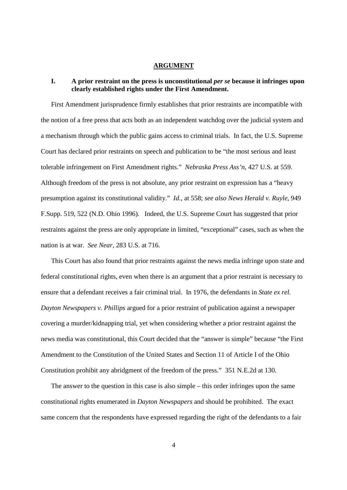### **ARGUMENT**

## **I. A prior restraint on the press is unconstitutional** *per se* **because it infringes upon clearly established rights under the First Amendment.**

First Amendment jurisprudence firmly establishes that prior restraints are incompatible with the notion of a free press that acts both as an independent watchdog over the judicial system and a mechanism through which the public gains access to criminal trials. In fact, the U.S. Supreme Court has declared prior restraints on speech and publication to be "the most serious and least tolerable infringement on First Amendment rights." *Nebraska Press Ass'n*, 427 U.S. at 559. Although freedom of the press is not absolute, any prior restraint on expression has a "heavy presumption against its constitutional validity." *Id.*, at 558; *see also News Herald v. Ruyle*, 949 F.Supp. 519, 522 (N.D. Ohio 1996). Indeed, the U.S. Supreme Court has suggested that prior restraints against the press are only appropriate in limited, "exceptional" cases, such as when the nation is at war. *See Near,* 283 U.S. at 716.

This Court has also found that prior restraints against the news media infringe upon state and federal constitutional rights, even when there is an argument that a prior restraint is necessary to ensure that a defendant receives a fair criminal trial. In 1976, the defendants in *State ex rel. Dayton Newspapers v. Phillips* argued for a prior restraint of publication against a newspaper covering a murder/kidnapping trial, yet when considering whether a prior restraint against the news media was constitutional, this Court decided that the "answer is simple" because "the First Amendment to the Constitution of the United States and Section 11 of Article I of the Ohio Constitution prohibit any abridgment of the freedom of the press." 351 N.E.2d at 130.

The answer to the question in this case is also simple – this order infringes upon the same constitutional rights enumerated in *Dayton Newspapers* and should be prohibited. The exact same concern that the respondents have expressed regarding the right of the defendants to a fair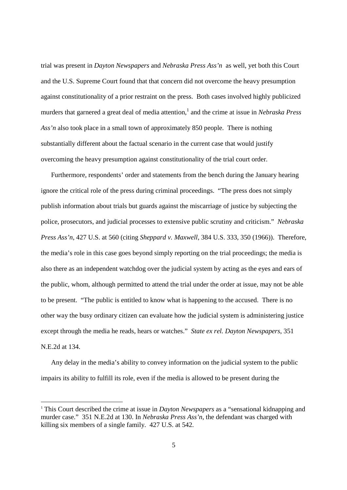trial was present in *Dayton Newspapers* and *Nebraska Press Ass'n* as well, yet both this Court and the U.S. Supreme Court found that that concern did not overcome the heavy presumption against constitutionality of a prior restraint on the press. Both cases involved highly publicized murders that garnered a great deal of media attention, 1 and the crime at issue in *Nebraska Press Ass'n* also took place in a small town of approximately 850 people. There is nothing substantially different about the factual scenario in the current case that would justify overcoming the heavy presumption against constitutionality of the trial court order.

Furthermore, respondents' order and statements from the bench during the January hearing ignore the critical role of the press during criminal proceedings. "The press does not simply publish information about trials but guards against the miscarriage of justice by subjecting the police, prosecutors, and judicial processes to extensive public scrutiny and criticism." *Nebraska Press Ass'n*, 427 U.S. at 560 (citing *Sheppard v. Maxwell*, 384 U.S. 333, 350 (1966)). Therefore, the media's role in this case goes beyond simply reporting on the trial proceedings; the media is also there as an independent watchdog over the judicial system by acting as the eyes and ears of the public, whom, although permitted to attend the trial under the order at issue, may not be able to be present. "The public is entitled to know what is happening to the accused. There is no other way the busy ordinary citizen can evaluate how the judicial system is administering justice except through the media he reads, hears or watches." *State ex rel. Dayton Newspapers*, 351 N.E.2d at 134.

Any delay in the media's ability to convey information on the judicial system to the public impairs its ability to fulfill its role, even if the media is allowed to be present during the

-

<sup>1</sup> This Court described the crime at issue in *Dayton Newspapers* as a "sensational kidnapping and murder case." 351 N.E.2d at 130. In *Nebraska Press Ass'n*, the defendant was charged with killing six members of a single family. 427 U.S. at 542.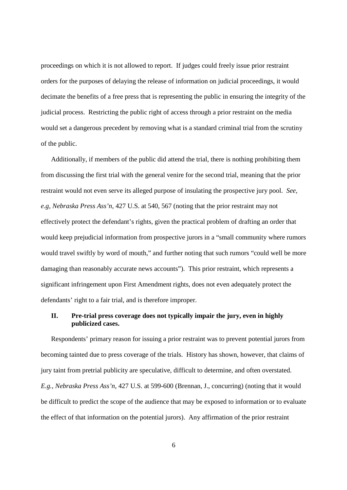proceedings on which it is not allowed to report. If judges could freely issue prior restraint orders for the purposes of delaying the release of information on judicial proceedings, it would decimate the benefits of a free press that is representing the public in ensuring the integrity of the judicial process. Restricting the public right of access through a prior restraint on the media would set a dangerous precedent by removing what is a standard criminal trial from the scrutiny of the public.

Additionally, if members of the public did attend the trial, there is nothing prohibiting them from discussing the first trial with the general venire for the second trial, meaning that the prior restraint would not even serve its alleged purpose of insulating the prospective jury pool. *See, e.g, Nebraska Press Ass'n*, 427 U.S. at 540, 567 (noting that the prior restraint may not effectively protect the defendant's rights, given the practical problem of drafting an order that would keep prejudicial information from prospective jurors in a "small community where rumors would travel swiftly by word of mouth," and further noting that such rumors "could well be more damaging than reasonably accurate news accounts"). This prior restraint, which represents a significant infringement upon First Amendment rights, does not even adequately protect the defendants' right to a fair trial, and is therefore improper.

# **II. Pre-trial press coverage does not typically impair the jury, even in highly publicized cases.**

Respondents' primary reason for issuing a prior restraint was to prevent potential jurors from becoming tainted due to press coverage of the trials. History has shown, however, that claims of jury taint from pretrial publicity are speculative, difficult to determine, and often overstated. *E.g., Nebraska Press Ass'n*, 427 U.S. at 599-600 (Brennan, J., concurring) (noting that it would be difficult to predict the scope of the audience that may be exposed to information or to evaluate the effect of that information on the potential jurors). Any affirmation of the prior restraint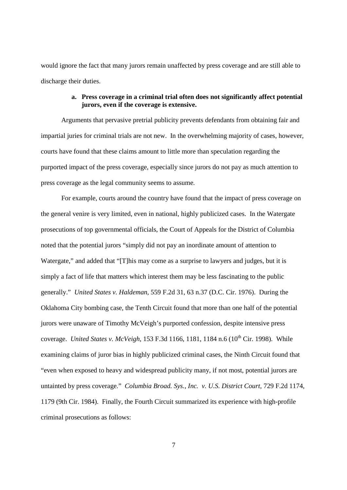would ignore the fact that many jurors remain unaffected by press coverage and are still able to discharge their duties.

## **a. Press coverage in a criminal trial often does not significantly affect potential jurors, even if the coverage is extensive.**

Arguments that pervasive pretrial publicity prevents defendants from obtaining fair and impartial juries for criminal trials are not new. In the overwhelming majority of cases, however, courts have found that these claims amount to little more than speculation regarding the purported impact of the press coverage, especially since jurors do not pay as much attention to press coverage as the legal community seems to assume.

For example, courts around the country have found that the impact of press coverage on the general venire is very limited, even in national, highly publicized cases. In the Watergate prosecutions of top governmental officials, the Court of Appeals for the District of Columbia noted that the potential jurors "simply did not pay an inordinate amount of attention to Watergate," and added that "[T]his may come as a surprise to lawyers and judges, but it is simply a fact of life that matters which interest them may be less fascinating to the public generally." *United States v. Haldeman,* 559 F.2d 31, 63 n.37 (D.C. Cir. 1976). During the Oklahoma City bombing case, the Tenth Circuit found that more than one half of the potential jurors were unaware of Timothy McVeigh's purported confession, despite intensive press coverage. *United States v. McVeigh*, 153 F.3d 1166, 1181, 1184 n.6 (10<sup>th</sup> Cir. 1998). While examining claims of juror bias in highly publicized criminal cases, the Ninth Circuit found that "even when exposed to heavy and widespread publicity many, if not most, potential jurors are untainted by press coverage." *Columbia Broad. Sys., Inc. v. U.S. District Court,* 729 F.2d 1174, 1179 (9th Cir. 1984). Finally, the Fourth Circuit summarized its experience with high-profile criminal prosecutions as follows:

7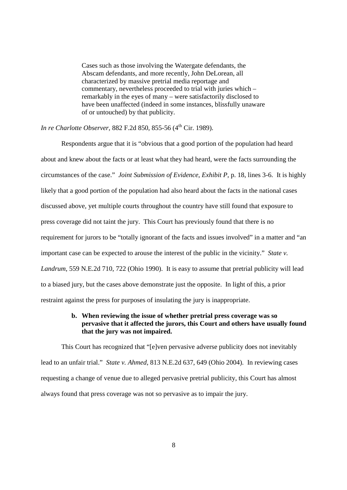Cases such as those involving the Watergate defendants, the Abscam defendants, and more recently, John DeLorean, all characterized by massive pretrial media reportage and commentary, nevertheless proceeded to trial with juries which – remarkably in the eyes of many – were satisfactorily disclosed to have been unaffected (indeed in some instances, blissfully unaware of or untouched) by that publicity.

*In re Charlotte Observer, 882 F.2d 850, 855-56 (4<sup>th</sup> Cir. 1989).* 

Respondents argue that it is "obvious that a good portion of the population had heard about and knew about the facts or at least what they had heard, were the facts surrounding the circumstances of the case." *Joint Submission of Evidence*, *Exhibit P*, p. 18, lines 3-6. It is highly likely that a good portion of the population had also heard about the facts in the national cases discussed above, yet multiple courts throughout the country have still found that exposure to press coverage did not taint the jury. This Court has previously found that there is no requirement for jurors to be "totally ignorant of the facts and issues involved" in a matter and "an important case can be expected to arouse the interest of the public in the vicinity." *State v. Landrum*, 559 N.E.2d 710, 722 (Ohio 1990). It is easy to assume that pretrial publicity will lead to a biased jury, but the cases above demonstrate just the opposite. In light of this, a prior restraint against the press for purposes of insulating the jury is inappropriate.

## **b. When reviewing the issue of whether pretrial press coverage was so pervasive that it affected the jurors, this Court and others have usually found that the jury was not impaired.**

This Court has recognized that "[e]ven pervasive adverse publicity does not inevitably lead to an unfair trial." *State v. Ahmed,* 813 N.E.2d 637, 649 (Ohio 2004). In reviewing cases requesting a change of venue due to alleged pervasive pretrial publicity, this Court has almost always found that press coverage was not so pervasive as to impair the jury.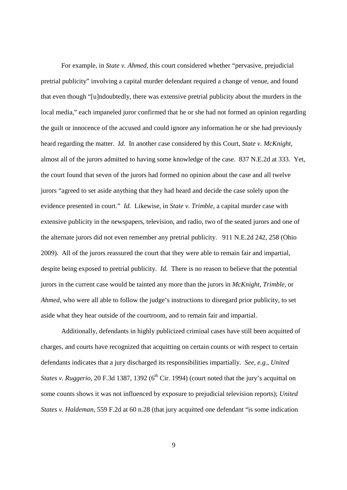For example, in *State v. Ahmed*, this court considered whether "pervasive, prejudicial pretrial publicity" involving a capital murder defendant required a change of venue, and found that even though "[u]ndoubtedly, there was extensive pretrial publicity about the murders in the local media," each impaneled juror confirmed that he or she had not formed an opinion regarding the guilt or innocence of the accused and could ignore any information he or she had previously heard regarding the matter. *Id.* In another case considered by this Court, *State v. McKnight*, almost all of the jurors admitted to having some knowledge of the case. 837 N.E.2d at 333. Yet, the court found that seven of the jurors had formed no opinion about the case and all twelve jurors "agreed to set aside anything that they had heard and decide the case solely upon the evidence presented in court." *Id.* Likewise, in *State v. Trimble*, a capital murder case with extensive publicity in the newspapers, television, and radio, two of the seated jurors and one of the alternate jurors did not even remember any pretrial publicity. 911 N.E.2d 242, 258 (Ohio 2009). All of the jurors reassured the court that they were able to remain fair and impartial, despite being exposed to pretrial publicity. *Id.* There is no reason to believe that the potential jurors in the current case would be tainted any more than the jurors in *McKnight*, *Trimble*, or *Ahmed*, who were all able to follow the judge's instructions to disregard prior publicity, to set aside what they hear outside of the courtroom, and to remain fair and impartial.

Additionally, defendants in highly publicized criminal cases have still been acquitted of charges, and courts have recognized that acquitting on certain counts or with respect to certain defendants indicates that a jury discharged its responsibilities impartially. *See, e.g., United States v. Ruggerio,* 20 F.3d 1387, 1392 (6<sup>th</sup> Cir. 1994) (court noted that the jury's acquittal on some counts shows it was not influenced by exposure to prejudicial television reports); *United States v. Haldeman,* 559 F.2d at 60 n.28 (that jury acquitted one defendant "is some indication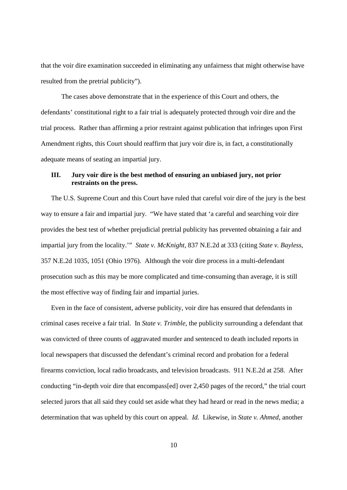that the voir dire examination succeeded in eliminating any unfairness that might otherwise have resulted from the pretrial publicity").

The cases above demonstrate that in the experience of this Court and others, the defendants' constitutional right to a fair trial is adequately protected through voir dire and the trial process. Rather than affirming a prior restraint against publication that infringes upon First Amendment rights, this Court should reaffirm that jury voir dire is, in fact, a constitutionally adequate means of seating an impartial jury.

# **III. Jury voir dire is the best method of ensuring an unbiased jury, not prior restraints on the press.**

The U.S. Supreme Court and this Court have ruled that careful voir dire of the jury is the best way to ensure a fair and impartial jury. "We have stated that 'a careful and searching voir dire provides the best test of whether prejudicial pretrial publicity has prevented obtaining a fair and impartial jury from the locality.'" *State v. McKnight*, 837 N.E.2d at 333 (citing *State v. Bayless*, 357 N.E.2d 1035, 1051 (Ohio 1976). Although the voir dire process in a multi-defendant prosecution such as this may be more complicated and time-consuming than average, it is still the most effective way of finding fair and impartial juries.

Even in the face of consistent, adverse publicity, voir dire has ensured that defendants in criminal cases receive a fair trial. In *State v. Trimble*, the publicity surrounding a defendant that was convicted of three counts of aggravated murder and sentenced to death included reports in local newspapers that discussed the defendant's criminal record and probation for a federal firearms conviction, local radio broadcasts, and television broadcasts. 911 N.E.2d at 258. After conducting "in-depth voir dire that encompass[ed] over 2,450 pages of the record," the trial court selected jurors that all said they could set aside what they had heard or read in the news media; a determination that was upheld by this court on appeal. *Id.* Likewise, in *State v. Ahmed*, another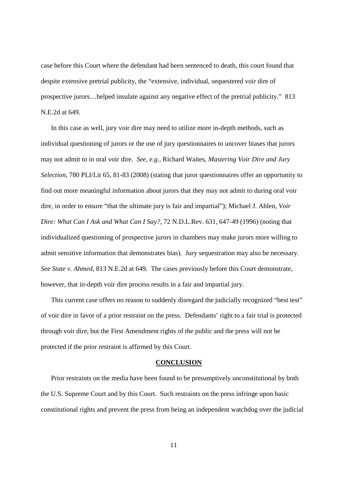case before this Court where the defendant had been sentenced to death, this court found that despite extensive pretrial publicity, the "extensive, individual, sequestered voir dire of prospective jurors…helped insulate against any negative effect of the pretrial publicity." 813 N.E.2d at 649.

In this case as well, jury voir dire may need to utilize more in-depth methods, such as individual questioning of jurors or the use of jury questionnaires to uncover biases that jurors may not admit to in oral voir dire. *See, e.g.,* Richard Waites, *Mastering Voir Dire and Jury Selection*, 780 PLI/Lit 65, 81-83 (2008) (stating that juror questionnaires offer an opportunity to find out more meaningful information about jurors that they may not admit to during oral voir dire, in order to ensure "that the ultimate jury is fair and impartial"); Michael J. Ahlen, *Voir Dire: What Can I Ask and What Can I Say?,* 72 N.D.L.Rev. 631, 647-49 (1996) (noting that individualized questioning of prospective jurors in chambers may make jurors more willing to admit sensitive information that demonstrates bias). Jury sequestration may also be necessary. *See State v. Ahmed,* 813 N.E.2d at 649. The cases previously before this Court demonstrate, however, that in-depth voir dire process results in a fair and impartial jury.

This current case offers no reason to suddenly disregard the judicially recognized "best test" of voir dire in favor of a prior restraint on the press. Defendants' right to a fair trial is protected through voir dire, but the First Amendment rights of the public and the press will not be protected if the prior restraint is affirmed by this Court.

#### **CONCLUSION**

Prior restraints on the media have been found to be presumptively unconstitutional by both the U.S. Supreme Court and by this Court. Such restraints on the press infringe upon basic constitutional rights and prevent the press from being an independent watchdog over the judicial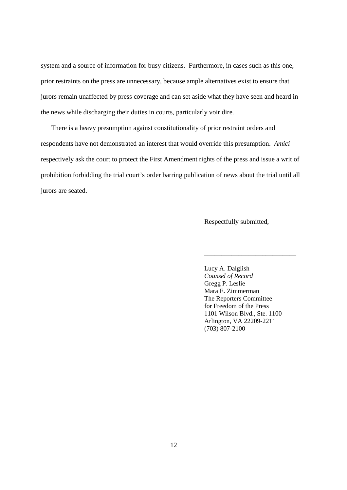system and a source of information for busy citizens. Furthermore, in cases such as this one, prior restraints on the press are unnecessary, because ample alternatives exist to ensure that jurors remain unaffected by press coverage and can set aside what they have seen and heard in the news while discharging their duties in courts, particularly voir dire.

There is a heavy presumption against constitutionality of prior restraint orders and respondents have not demonstrated an interest that would override this presumption. *Amici*  respectively ask the court to protect the First Amendment rights of the press and issue a writ of prohibition forbidding the trial court's order barring publication of news about the trial until all jurors are seated.

 $\overline{\phantom{a}}$  , and the contract of the contract of the contract of the contract of the contract of the contract of the contract of the contract of the contract of the contract of the contract of the contract of the contrac

Respectfully submitted,

 Lucy A. Dalglish *Counsel of Record*  Gregg P. Leslie Mara E. Zimmerman The Reporters Committee for Freedom of the Press 1101 Wilson Blvd., Ste. 1100 Arlington, VA 22209-2211 (703) 807-2100